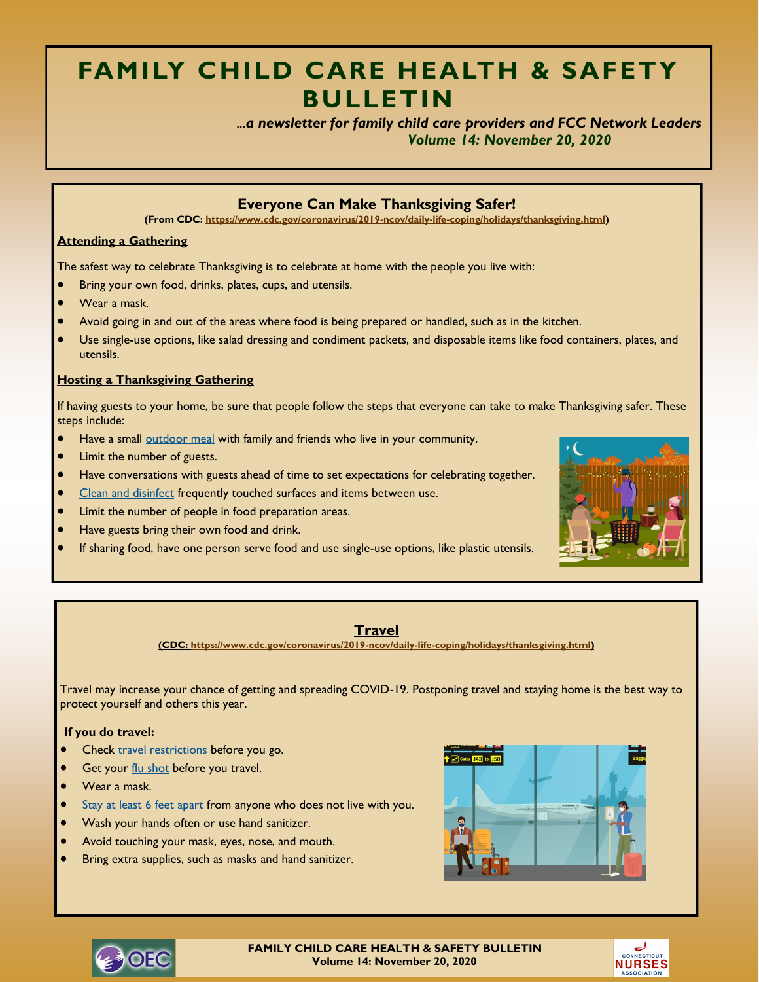# **FAMILY CHILD CARE HEALTH & SAFETY BULLETIN**

 *...a newsletter for family child care providers and FCC Network Leaders Volume 14: November 20, 2020*

## **Everyone Can Make Thanksgiving Safer!**

**(From CDC: [https://www.cdc.gov/coronavirus/2019-ncov/daily-life-coping/holidays/thanksgiving.html\)](https://www.cdc.gov/coronavirus/2019-ncov/daily-life-coping/holidays/thanksgiving.html)**

#### **Attending a Gathering**

The safest way to celebrate Thanksgiving is to celebrate at home with the people you live with:

- Bring your own food, drinks, plates, cups, and utensils.
- Wear a mask.
- Avoid going in and out of the areas where food is being prepared or handled, such as in the kitchen.
- Use single-use options, like salad dressing and condiment packets, and disposable items like food containers, plates, and utensils.

#### **Hosting a Thanksgiving Gathering**

If having guests to your home, be sure that people follow the steps that everyone can take to make Thanksgiving safer. These steps include:

- Have a small [outdoor meal](https://www.cdc.gov/coronavirus/2019-ncov/daily-life-coping/personal-social-activities.html#gatherings) with family and friends who live in your community.
- Limit the number of guests.
- Have conversations with guests ahead of time to set expectations for celebrating together.
- [Clean and disinfect](https://www.cdc.gov/coronavirus/2019-ncov/prevent-getting-sick/disinfecting-your-home.html) frequently touched surfaces and items between use.
- Limit the number of people in food preparation areas.
- Have guests bring their own food and drink.
- If sharing food, have one person serve food and use single-use options, like plastic utensils.



#### **Travel**

**(CDC: [https://www.cdc.gov/coronavirus/2019-ncov/daily-life-coping/holidays/thanksgiving.html\)](https://www.cdc.gov/coronavirus/2019-ncov/daily-life-coping/holidays/thanksgiving.html)**

Travel may increase your chance of getting and spreading COVID-19. Postponing travel and staying home is the best way to protect yourself and others this year.

#### **If you do travel:**

- Check [travel restrictions](https://www.cdc.gov/coronavirus/2019-ncov/travelers/travel-planner/index.html) before you go.
- Get your [flu shot](https://www.cdc.gov/flu/season/protect-your-health.html) before you travel.
- Wear a mask.
- [Stay at least 6 feet apart](https://www.cdc.gov/coronavirus/2019-ncov/prevent-getting-sick/social-distancing.html) from anyone who does not live with you.
- Wash your hands often or use hand sanitizer.
- Avoid touching your mask, eyes, nose, and mouth.
- Bring extra supplies, such as masks and hand sanitizer.





**FAMILY CHILD CARE HEALTH & SAFETY BULLETIN Volume 14: November 20, 2020**

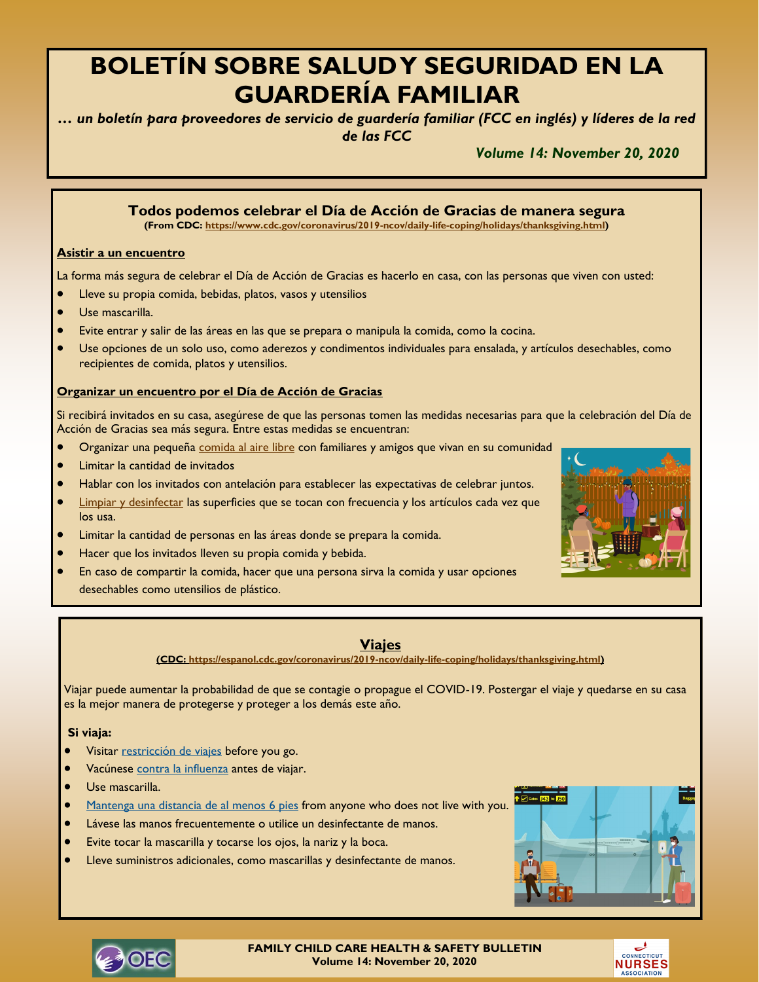# **BOLETÍN SOBRE SALUD Y SEGURIDAD EN LA GUARDERÍA FAMILIAR**

*… un boletín para proveedores de servicio de guardería familiar (FCC en inglés) y líderes de la red de las FCC*

*Volume 14: November 20, 2020*

# **Todos podemos celebrar el Día de Acción de Gracias de manera segura (From CDC: [https://www.cdc.gov/coronavirus/2019-ncov/daily-life-coping/holidays/thanksgiving.html\)](https://www.cdc.gov/coronavirus/2019-ncov/daily-life-coping/holidays/thanksgiving.html) Asistir a un encuentro** La forma más segura de celebrar el Día de Acción de Gracias es hacerlo en casa, con las personas que viven con usted: Lleve su propia comida, bebidas, platos, vasos y utensilios • Use mascarilla. • Evite entrar y salir de las áreas en las que se prepara o manipula la comida, como la cocina. • Use opciones de un solo uso, como aderezos y condimentos individuales para ensalada, y artículos desechables, como recipientes de comida, platos y utensilios.

#### **Organizar un encuentro por el Día de Acción de Gracias**

Si recibirá invitados en su casa, asegúrese de que las personas tomen las medidas necesarias para que la celebración del Día de Acción de Gracias sea más segura. Entre estas medidas se encuentran:

- **•** Organizar una pequeña [comida al aire libre](https://espanol.cdc.gov/coronavirus/2019-ncov/daily-life-coping/personal-social-activities.html#gatherings) con familiares y amigos que vivan en su comunidad
- Limitar la cantidad de invitados
- Hablar con los invitados con antelación para establecer las expectativas de celebrar juntos.
- [Limpiar y desinfectar](https://espanol.cdc.gov/coronavirus/2019-ncov/prevent-getting-sick/disinfecting-your-home.html) las superficies que se tocan con frecuencia y los artículos cada vez que los usa.
- Limitar la cantidad de personas en las áreas donde se prepara la comida.
- Hacer que los invitados lleven su propia comida y bebida.
- En caso de compartir la comida, hacer que una persona sirva la comida y usar opciones desechables como utensilios de plástico.



**(CDC: [https://espanol.cdc.gov/coronavirus/2019-ncov/daily-life-coping/holidays/thanksgiving.html\)](https://espanol.cdc.gov/coronavirus/2019-ncov/daily-life-coping/holidays/thanksgiving.html)**

Viajar puede aumentar la probabilidad de que se contagie o propague el COVID-19. Postergar el viaje y quedarse en su casa es la mejor manera de protegerse y proteger a los demás este año.

#### **Si viaja:**

- Visitar [restricción de viajes](https://espanol.cdc.gov/coronavirus/2019-ncov/travelers/travel-planner/index.html) before you go.
- Vacúnese [contra la influenza](https://espanol.cdc.gov/flu/season/protect-your-health.html) antes de viajar.
- Use mascarilla.
- [Mantenga una distancia de al menos](https://espanol.cdc.gov/coronavirus/2019-ncov/prevent-getting-sick/social-distancing.html) 6 pies from anyone who does not live with you.
- Lávese las manos frecuentemente o utilice un desinfectante de manos.
- Evite tocar la mascarilla y tocarse los ojos, la nariz y la boca.
- Lleve suministros adicionales, como mascarillas y desinfectante de manos.





**FAMILY CHILD CARE HEALTH & SAFETY BULLETIN Volume 14: November 20, 2020**



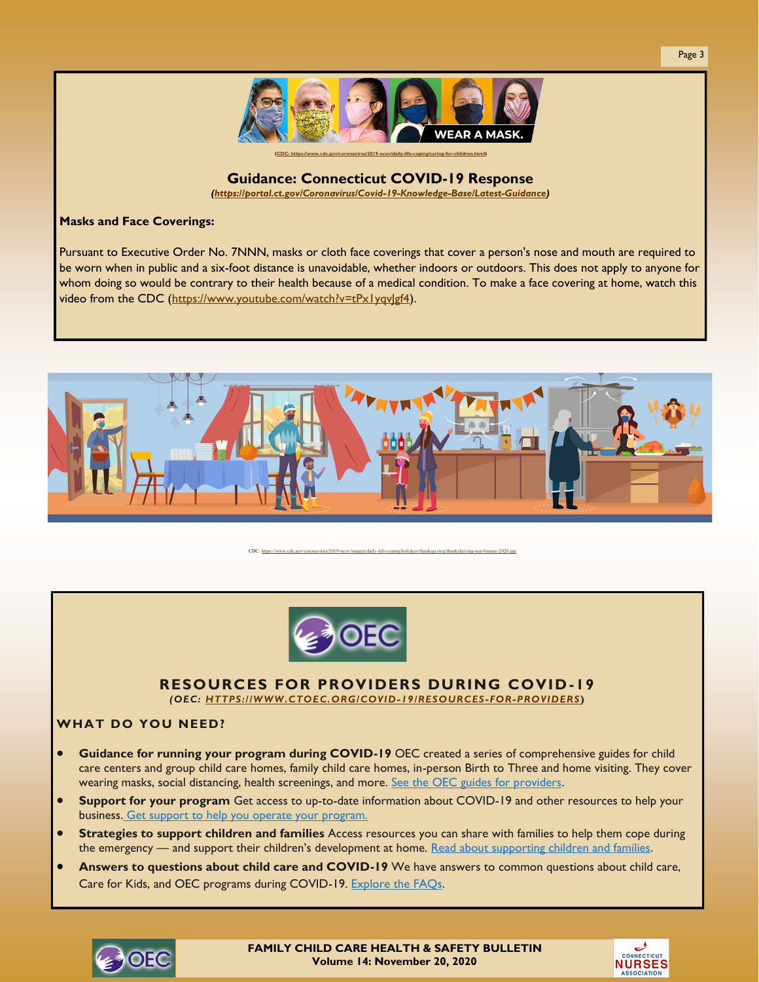

# **Guidance: Connecticut COVID-19 Response**

*[\(https://portal.ct.gov/Coronavirus/Covid-19-Knowledge-Base/Latest-Guidance\)](https://portal.ct.gov/Coronavirus/Covid-19-Knowledge-Base/Latest-Guidance)*

#### **Masks and Face Coverings:**

Pursuant to Executive Order No. 7NNN, masks or cloth face coverings that cover a person's nose and mouth are required to be worn when in public and a six-foot distance is unavoidable, whether indoors or outdoors. This does not apply to anyone for whom doing so would be contrary to their health because of a medical condition. To make a face covering at home, watch this video from the CDC (https://www.youtube.com/watch?v=tPx1yqvlgf4).



CDC: https://www.cdc.gov/coronavirus/2019-ncov/images/daily-life-[coping/holidays/thanksgiving/thanksfgiving](https://www.cdc.gov/coronavirus/2019-ncov/images/daily-life-coping/holidays/thanksgiving/thanksfgiving-top-banner-2020.jpg)-top-banner-2020.jpg

# **RESOURCES FOR PROVIDERS DURING COVID -19**

*(OEC: [HTTPS://WWW.CTOEC.ORG/COVID-19/RESOURCES-FOR-PROVIDERS](https://www.ctoec.org/covid-19/resources-for-providers)***)**

# **WHAT DO YOU NEED?**

- **Guidance for running your program during COVID-19** OEC created a series of comprehensive guides for child care centers and group child care homes, family child care homes, in-person Birth to Three and home visiting. They cover wearing masks, social distancing, health screenings, and more. [See the OEC guides for providers.](https://www.ctoec.org/covid-19/oecs-covid-19-guides/)
- **Support for your program** Get access to up-to-date information about COVID-19 and other resources to help your business. [Get support to help you operate your program.](https://www.ctoec.org/covid-19/running-your-business-during-covid-19/)
- **Strategies to support children and families** Access resources you can share with families to help them cope during the emergency — and support their children's development at home. [Read about supporting children and families.](https://www.ctoec.org/supporting-children-and-families-during-covid-19/)
- **Answers to questions about child care and COVID-19** We have answers to common questions about child care, Care for Kids, and OEC programs during COVID-19. [Explore the FAQs.](https://www.ctoec.org/covid-19/covid-19-frequently-asked-questions-faq/)





Page 3